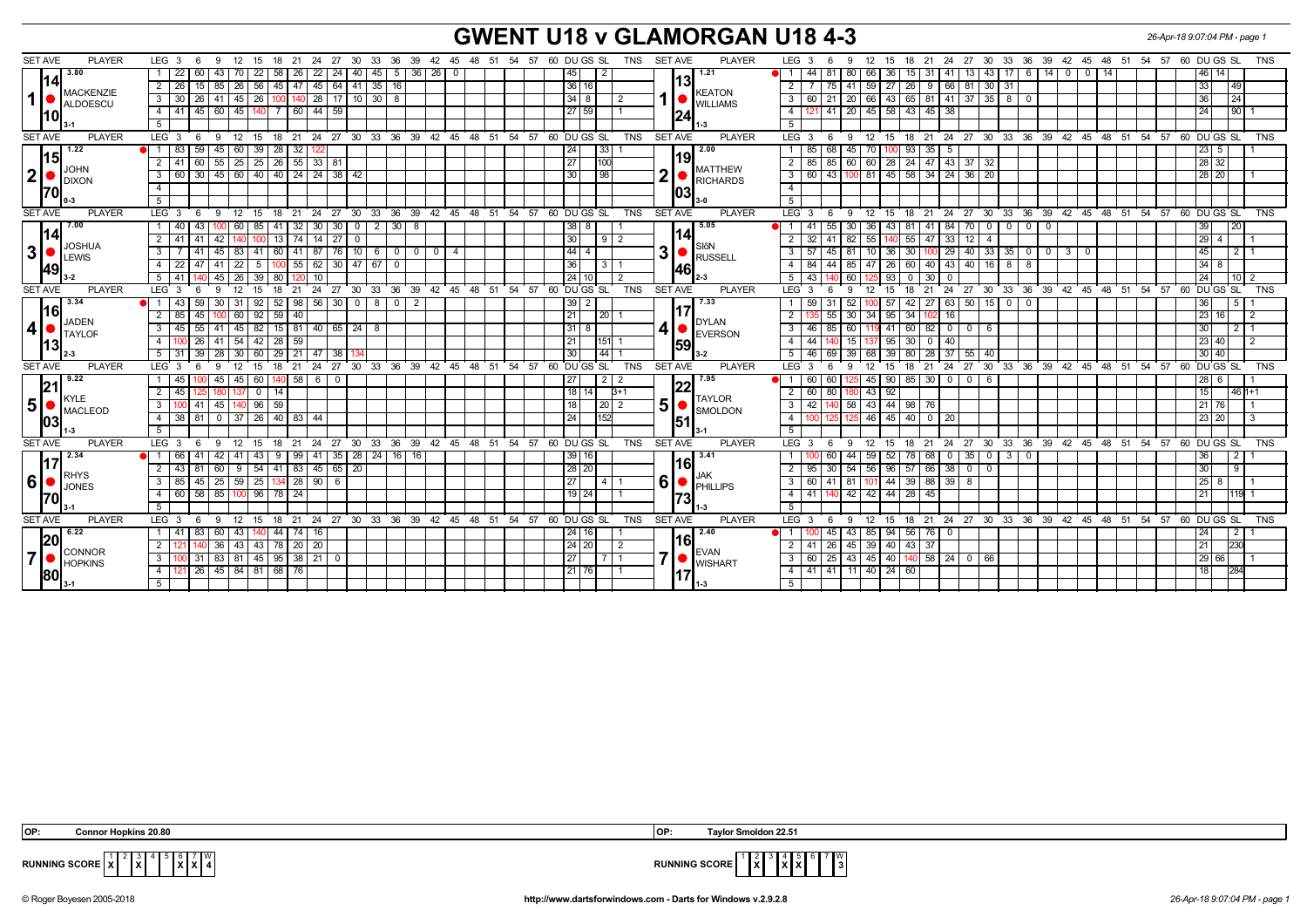## **GWENT U18 v GLAMORGAN U18 4-3** *26-Apr-18 9:07:04 PM - page 1*

| 3.80<br>1.21<br>22<br>$45 \mid 5 \mid 36 \mid 26 \mid 0$<br>6 14 0 0 14<br>46 14<br>60<br>43 I<br>70<br>22<br>58 26<br>22<br>24 40<br>44<br>81<br>80<br>66<br>36<br>15 <sup>1</sup><br>13 <sup>1</sup><br>43   17  <br>45<br>-31<br>l 41 l<br> 14<br> 13  <br>26<br>$85$   26<br>56<br>$45 \mid 47$<br>$145 \ 64 \ 41$<br>35 16<br>36 16<br>33<br>2 <sup>1</sup><br>15<br>$\overline{2}$<br>41<br>59   27<br>26<br>9   66<br>81<br>30   31<br> 49<br>75 I<br><b>KEATON</b><br><b>MACKENZIE</b><br>$1  \bullet  $<br>100   140   28   17   10   30   8<br>$3 \mid 30$<br>$\sqrt{26}$<br>41 45 26<br>$34$ 8<br>21   20   66   43   65   81   41   37   35   8   0<br>36<br> 24 <br>3<br>60<br>ALDOESCU<br><b>I</b> WILLIAMS<br>44 59<br>27 59<br>$41$   20  <br>  45   58   43  <br>41<br>  45   60   45   140<br>$\overline{4}$<br>$45 \mid 38$<br>$\sqrt{24}$<br>190<br>4<br>7 60<br><u>110</u><br>$\overline{5}$<br>5 <sup>5</sup><br>18 21 24 27 30 33 36 39 42 45 48 51 54 57 60 DU GS SL<br>12 15 18 21 24 27 30 33 36 39 42 45 48 51 54 57 60 DUGS SL<br><b>TNS</b><br><b>SET AVE</b><br><b>PLAYER</b><br>LEG <sub>3</sub><br>$9 \t12$<br>$^{\circ}$ 15<br><b>TNS</b><br><b>SET AVE</b><br><b>PLAYER</b><br>LEG <sub>3</sub><br>9<br>- 6<br>1.22<br>45 60 39 28 32<br>2.00<br>$100$ 93<br>$35 \mid 5$<br>83<br>59<br>  33  <br>68 I<br>45<br>24<br>85<br>  70 I<br>  23   5<br>$-1$<br>12<br>191<br> 15<br>$\overline{27}$<br>60<br>$55$   25<br>25<br>$26 \mid 55$<br>$\sqrt{33}$<br>$\sqrt{24}$<br> 28 32 <br>41<br>100<br>$\overline{2}$<br>85 I<br>- 28 I<br>$47 \mid 43$<br>37<br>81<br>85<br>60<br>60<br>32<br><b>JOHN</b><br><b>MATTHEW</b><br>2 <sup>1</sup><br>$\begin{bmatrix} 1 & 1 \\ 0 & 1 \end{bmatrix}$ DIXON<br>ŋ<br>60   30   45   60   40   40   24   24   38   42<br>98<br>$\overline{3}$<br>43 100 81 45 58 34 24 36 20<br>30<br>60 T<br>28 20<br>RICHARDS<br>$\overline{4}$<br><b>70</b><br>1031<br>5<br>5 <sup>1</sup><br>33 36 39 42 45 48 51 54 57 60 DUGS SL<br>15 18 21 24 27 30 33 36 39 42 45 48 51 54 57 60 DUGS SL<br>$LEG_36$<br>$12^{\circ}$<br>18 21 24 27 30<br><b>TNS</b><br><b>SET AVE</b><br><b>PLAYER</b><br>LEG <sub>3</sub><br>12<br><b>SET AVE</b><br><b>PLAYER</b><br>9<br>- 15<br>- 9<br><b>TNS</b><br>- 6<br>5.05<br>7.00<br>40<br>60   85  <br>41 32<br>30 30 0<br>2 30 8<br>55 30 36 43<br>41 84 70<br>0 0 0 0 0<br>39<br>l 20<br>1 I<br>l 43<br>38   8<br>$\blacksquare$<br>-41<br>  81<br>1141<br>14<br>-27 I<br>30<br>55<br>12 <sup>1</sup><br>41<br>13 <sup>1</sup><br>74<br>14<br>$\overline{2}$<br>$\overline{2}$<br>32<br>82<br>55<br>47<br>33<br>12914<br>-41<br>$\overline{4}$<br><b>JOSHUA</b><br>SIôN<br>3 <sup>1</sup><br>3<br>87<br>$76$ 10 6<br>$44$   4<br>30 <sup>1</sup><br>$100$ 29<br>  40   33   35   0   0   3   0<br>45   83<br>41<br>60 41<br>$\overline{0}$<br>3<br>57<br>45<br>$10$   36<br>45<br>121'<br>3 I<br>-41<br>  0  <br>$\mathbf{0}$<br>$\overline{4}$<br><b>ILEWIS</b><br>RUSSELL<br>$30 \mid 47 \mid 67$<br>40<br>22<br>41 22<br>100 55<br>62<br>36 <sup>1</sup><br>3<br>$\overline{4}$<br>84<br>85<br>47   26   60  <br>40   43  <br>$16$ 8<br>8<br>13418<br>47<br>- 5<br>$\overline{\mathbf{0}}$<br>49<br>1461<br>5   41<br>45   26<br>39<br>10<br>24   10<br>2<br>5<br>43<br>60<br>93<br>30<br>l 24 l<br>80 l<br>$^{\circ}$<br>$\Omega$<br>1012<br>18 21 24 27 30 33 36 39 42 45 48 51 54 57 60 DUGS SL TNS SETAVE<br>18 21 24 27 30 33 36 39 42 45 48 51 54 57 60 DUGS SL<br><b>SET AVE</b><br><b>PLAYER</b><br>LEG $3 \t6$<br>12<br>15<br><b>PLAYER</b><br>LEG <sup>3</sup><br>12<br>15<br><b>TNS</b><br>9<br>9<br>3.34<br>7.33<br>50<br>43<br>56<br>8<br>42<br>27   63  <br>15 I 0<br>$^{\circ}$<br>-31<br>92<br>52 <sub>1</sub><br>98<br>- 30 I<br>$\overline{0}$<br>$\overline{0}$<br>2<br>5<br>59<br>39   2<br>36<br><u> 1161</u><br>$92$ 59 40<br>21<br>85<br>100 60<br> 20 <br>30 <sup>1</sup><br>  34   95  <br>34<br>  23   16  <br>2 <sup>1</sup><br>2<br>55<br>$\vert$ 2<br>45<br>$102$ 16<br>JADEN<br><b>DYLAN</b><br>4 • <br>4<br>55<br>45<br>45<br>82<br>15 81<br>40 65 24<br>$31$ 8<br>60<br>$82 \mid 0 \mid 0$<br>3<br>46<br>85<br>60<br>41 I<br>30 <sub>1</sub><br>2   1<br>3<br>41 I<br>-8<br>- 6<br><b>TAYLOR</b><br>EVERSON<br>$100$ 26<br>41 54 42 28 59<br>21<br>$137$ 95 30<br>$\overline{4}$<br>44<br>15<br>0   40<br>23 40 <br>4 I<br>12<br>151 <br><u> 13</u><br> 59 <br>44<br>39<br>30<br>55<br>30<br>60<br>29 21<br>5<br>46<br>39<br>80<br>30 40<br>5 <sup>1</sup><br>31<br>28 l<br>47<br>38<br>69<br>68<br>39<br>28<br>37<br>40<br>24 27 30 33 36 39 42 45 48 51 54 57<br>60 DU GS SL<br>SET AVE<br>27 30 33 36 39 42 45 48 51 54 57 60 DUGS SL<br><b>SET AVE</b><br><b>PLAYER</b><br><b>TNS</b><br><b>PLAYER</b><br>LEG <sub>3</sub><br>24<br><b>TNS</b><br>LEG <sub>3</sub><br>12<br>18<br>- 21<br>12<br>15<br>18<br>21<br>15<br>-9<br>9.22<br>7.95<br>60<br>58<br>6<br>-90  <br>85 I<br>30 0 0<br>45<br>45<br>$^{\circ}$<br>27<br>2<br>60<br>60 l<br>45  <br>-6<br>28   6<br>45 I<br>2<br> 21 <br>45<br>18   14<br>$\overline{2}$<br>$43 \mid 92$<br>$^{\circ}$<br>14 <sup>1</sup><br>3+1<br>60<br>80 I<br>15<br>  46   1+1<br>KYLE<br><b>TAYLOR</b><br>5 <sup>1</sup><br>5<br>45<br>96<br>59<br>18<br>$\overline{2}$<br>3<br>42<br>58<br>43   44  <br>98<br>-41<br>20 <sub>1</sub><br>- 76<br>21   76<br>100 I<br>MACLEOD<br><b>SMOLDON</b><br>4 38 81<br>$0$ 37 26<br>40 83 44<br>24<br>152<br>$\overline{4}$<br>46   45  <br>40 I<br>0 1 20<br>23   20  <br>125 I<br>125<br> 03 <br><u>1511</u><br>5<br>24 27 30 33 36 39 42 45 48 51 54 57 60 DUGS SL<br>18 21 24 27 30 33 36 39 42 45 48 51 54 57 60 DUGS SL<br><b>SET AVE</b><br><b>PLAYER</b><br>LEG $3 \t6$<br><b>SET AVE</b><br><b>PLAYER</b><br>LEG <sup>3</sup><br>12<br><b>TNS</b><br>9 12<br>18 21<br>TNS<br>15<br>15<br>- 6<br>9<br>2.34<br>$35 \mid 28$<br>$24$ 16 16<br>3.41<br>35<br>66<br>99<br>41<br>39   16<br>59<br>52<br>78<br>68<br>$\vert 3 \vert$<br>2<br>43<br>- 0<br>$\mathbf 0$<br>36<br>117<br>116 I<br>54<br>$41 \overline{\smash{)}83}$<br>45<br>$65 \mid 20$<br>28 20<br>57<br>$\overline{0}$<br>30<br>43<br>60 I<br>-9<br>$\overline{2}$<br>30 <sup>1</sup><br>54<br>56<br>96<br>66 38<br>-9<br>2 I<br>81<br>95<br>$\Omega$<br><b>RHYS</b><br>6 • <br>6<br>$25 \mid 59 \mid 25 \mid$<br>134 28<br>27<br>$101$ 44 39 88 39<br>85<br>$90\quad 6$<br>$41 \ 81$<br>$\vert 25 \vert 8$<br>3 I<br>45<br>3<br>60<br>8<br>4<br>JONES<br>PHILLIPS<br>58<br>85 100<br>96<br>42<br>42 44 28<br>60<br>78 24<br>$19$ 24<br>$\overline{4}$<br>41<br>45<br>$1119$ 1<br> 21 <br>4<br>170<br>5<br>5<br><b>SET AVE</b><br><b>PLAYER</b><br>24 27 30 33 36 39 42 45 48 51 54 57 60 DUGS SL<br><b>TNS</b><br>SET AVE<br><b>PLAYER</b><br>LEG <sub>3</sub><br><b>TNS</b><br>LEG <sub>3</sub><br>12<br>15<br>18 21<br>12<br>15<br>9<br>9<br>- 6<br>- 6<br>6.22<br>2.40<br>41<br>83<br>60 I<br>43<br>44   74<br>45<br>43 <br>85   94  <br>56<br>76   0<br>l 24 l<br>$\begin{pmatrix} 2 \end{pmatrix}$<br>-16<br>24   16<br>140<br> 20<br>161<br>20<br>43<br>43<br>24 20<br>45<br> 40 <br>43<br>78   20  <br>2<br>39<br>37<br>21<br>36 I<br>-41<br>26<br>7 <b>O</b> CONNOR<br><b>EVAN</b><br>7<br>100 31 83 81 45 95 38 21 0<br>27<br>25 43 45 40 140 58 24 0 66<br>$\overline{\mathbf{3}}$<br>29 66 <br>3 I<br>60 I<br><b>I</b> WISHART<br>$121 \ 26$<br>45   84   81   68   76<br>41 41 11 40 24 60<br>21   76<br>4<br>18 <sup>1</sup><br>1284 | <b>PLAYER</b><br><b>SET AVE</b> | <b>PLAYER</b><br>LEG <sub>3</sub><br><b>SET AVE</b><br>18<br>21<br>24 27<br>30<br>33 36 39 42 45 48 51 54 57 60 DUGS SL<br>TNS<br>9<br>12<br>15 | 21 24 27 30 33 36 39 42 45 48 51 54 57<br>60 DU GS SL<br>LEG <sub>3</sub><br>12<br>TNS<br>9<br>15<br>18 |
|--------------------------------------------------------------------------------------------------------------------------------------------------------------------------------------------------------------------------------------------------------------------------------------------------------------------------------------------------------------------------------------------------------------------------------------------------------------------------------------------------------------------------------------------------------------------------------------------------------------------------------------------------------------------------------------------------------------------------------------------------------------------------------------------------------------------------------------------------------------------------------------------------------------------------------------------------------------------------------------------------------------------------------------------------------------------------------------------------------------------------------------------------------------------------------------------------------------------------------------------------------------------------------------------------------------------------------------------------------------------------------------------------------------------------------------------------------------------------------------------------------------------------------------------------------------------------------------------------------------------------------------------------------------------------------------------------------------------------------------------------------------------------------------------------------------------------------------------------------------------------------------------------------------------------------------------------------------------------------------------------------------------------------------------------------------------------------------------------------------------------------------------------------------------------------------------------------------------------------------------------------------------------------------------------------------------------------------------------------------------------------------------------------------------------------------------------------------------------------------------------------------------------------------------------------------------------------------------------------------------------------------------------------------------------------------------------------------------------------------------------------------------------------------------------------------------------------------------------------------------------------------------------------------------------------------------------------------------------------------------------------------------------------------------------------------------------------------------------------------------------------------------------------------------------------------------------------------------------------------------------------------------------------------------------------------------------------------------------------------------------------------------------------------------------------------------------------------------------------------------------------------------------------------------------------------------------------------------------------------------------------------------------------------------------------------------------------------------------------------------------------------------------------------------------------------------------------------------------------------------------------------------------------------------------------------------------------------------------------------------------------------------------------------------------------------------------------------------------------------------------------------------------------------------------------------------------------------------------------------------------------------------------------------------------------------------------------------------------------------------------------------------------------------------------------------------------------------------------------------------------------------------------------------------------------------------------------------------------------------------------------------------------------------------------------------------------------------------------------------------------------------------------------------------------------------------------------------------------------------------------------------------------------------------------------------------------------------------------------------------------------------------------------------------------------------------------------------------------------------------------------------------------------------------------------------------------------------------------------------------------------------------------------------------------------------------------------------------------------------------------------------------------------------------------------------------------------------------------------------------------------------------------------------------------------------------------------------------------------------------------------------------------------------------------------------------------------------------------------------------------------------------------------------------------------------------------------------------------------------------------------------------------------------------------------------------------------------------------------------------------------------------------------------------------------------------------------------------------------------------------------------------------------------------------------------------------------------------------------------------------------------------------------------------------------------------------------------------------------------------------------------------------------------------------------------------------------------------------------------------------------------------------------------------------------------------------------------------------------------------------------------------------------------------------------------------------------------------------------------------------------------------------------------------------------------------------------------------------------------------------------------------------------------------------------------------------------------------------------------------------------------------------------------------------------------------------------------------------------------------------------------------------------------------------------------------------------------------------------------------------------------------------------------------------------------------------------------------------------------------------------------------------------------------------------------|---------------------------------|-------------------------------------------------------------------------------------------------------------------------------------------------|---------------------------------------------------------------------------------------------------------|
|                                                                                                                                                                                                                                                                                                                                                                                                                                                                                                                                                                                                                                                                                                                                                                                                                                                                                                                                                                                                                                                                                                                                                                                                                                                                                                                                                                                                                                                                                                                                                                                                                                                                                                                                                                                                                                                                                                                                                                                                                                                                                                                                                                                                                                                                                                                                                                                                                                                                                                                                                                                                                                                                                                                                                                                                                                                                                                                                                                                                                                                                                                                                                                                                                                                                                                                                                                                                                                                                                                                                                                                                                                                                                                                                                                                                                                                                                                                                                                                                                                                                                                                                                                                                                                                                                                                                                                                                                                                                                                                                                                                                                                                                                                                                                                                                                                                                                                                                                                                                                                                                                                                                                                                                                                                                                                                                                                                                                                                                                                                                                                                                                                                                                                                                                                                                                                                                                                                                                                                                                                                                                                                                                                                                                                                                                                                                                                                                                                                                                                                                                                                                                                                                                                                                                                                                                                                                                                                                                                                                                                                                                                                                                                                                                                                                                                                                                                                                                                      |                                 |                                                                                                                                                 |                                                                                                         |
|                                                                                                                                                                                                                                                                                                                                                                                                                                                                                                                                                                                                                                                                                                                                                                                                                                                                                                                                                                                                                                                                                                                                                                                                                                                                                                                                                                                                                                                                                                                                                                                                                                                                                                                                                                                                                                                                                                                                                                                                                                                                                                                                                                                                                                                                                                                                                                                                                                                                                                                                                                                                                                                                                                                                                                                                                                                                                                                                                                                                                                                                                                                                                                                                                                                                                                                                                                                                                                                                                                                                                                                                                                                                                                                                                                                                                                                                                                                                                                                                                                                                                                                                                                                                                                                                                                                                                                                                                                                                                                                                                                                                                                                                                                                                                                                                                                                                                                                                                                                                                                                                                                                                                                                                                                                                                                                                                                                                                                                                                                                                                                                                                                                                                                                                                                                                                                                                                                                                                                                                                                                                                                                                                                                                                                                                                                                                                                                                                                                                                                                                                                                                                                                                                                                                                                                                                                                                                                                                                                                                                                                                                                                                                                                                                                                                                                                                                                                                                                      |                                 |                                                                                                                                                 |                                                                                                         |
|                                                                                                                                                                                                                                                                                                                                                                                                                                                                                                                                                                                                                                                                                                                                                                                                                                                                                                                                                                                                                                                                                                                                                                                                                                                                                                                                                                                                                                                                                                                                                                                                                                                                                                                                                                                                                                                                                                                                                                                                                                                                                                                                                                                                                                                                                                                                                                                                                                                                                                                                                                                                                                                                                                                                                                                                                                                                                                                                                                                                                                                                                                                                                                                                                                                                                                                                                                                                                                                                                                                                                                                                                                                                                                                                                                                                                                                                                                                                                                                                                                                                                                                                                                                                                                                                                                                                                                                                                                                                                                                                                                                                                                                                                                                                                                                                                                                                                                                                                                                                                                                                                                                                                                                                                                                                                                                                                                                                                                                                                                                                                                                                                                                                                                                                                                                                                                                                                                                                                                                                                                                                                                                                                                                                                                                                                                                                                                                                                                                                                                                                                                                                                                                                                                                                                                                                                                                                                                                                                                                                                                                                                                                                                                                                                                                                                                                                                                                                                                      |                                 |                                                                                                                                                 |                                                                                                         |
|                                                                                                                                                                                                                                                                                                                                                                                                                                                                                                                                                                                                                                                                                                                                                                                                                                                                                                                                                                                                                                                                                                                                                                                                                                                                                                                                                                                                                                                                                                                                                                                                                                                                                                                                                                                                                                                                                                                                                                                                                                                                                                                                                                                                                                                                                                                                                                                                                                                                                                                                                                                                                                                                                                                                                                                                                                                                                                                                                                                                                                                                                                                                                                                                                                                                                                                                                                                                                                                                                                                                                                                                                                                                                                                                                                                                                                                                                                                                                                                                                                                                                                                                                                                                                                                                                                                                                                                                                                                                                                                                                                                                                                                                                                                                                                                                                                                                                                                                                                                                                                                                                                                                                                                                                                                                                                                                                                                                                                                                                                                                                                                                                                                                                                                                                                                                                                                                                                                                                                                                                                                                                                                                                                                                                                                                                                                                                                                                                                                                                                                                                                                                                                                                                                                                                                                                                                                                                                                                                                                                                                                                                                                                                                                                                                                                                                                                                                                                                                      |                                 |                                                                                                                                                 |                                                                                                         |
|                                                                                                                                                                                                                                                                                                                                                                                                                                                                                                                                                                                                                                                                                                                                                                                                                                                                                                                                                                                                                                                                                                                                                                                                                                                                                                                                                                                                                                                                                                                                                                                                                                                                                                                                                                                                                                                                                                                                                                                                                                                                                                                                                                                                                                                                                                                                                                                                                                                                                                                                                                                                                                                                                                                                                                                                                                                                                                                                                                                                                                                                                                                                                                                                                                                                                                                                                                                                                                                                                                                                                                                                                                                                                                                                                                                                                                                                                                                                                                                                                                                                                                                                                                                                                                                                                                                                                                                                                                                                                                                                                                                                                                                                                                                                                                                                                                                                                                                                                                                                                                                                                                                                                                                                                                                                                                                                                                                                                                                                                                                                                                                                                                                                                                                                                                                                                                                                                                                                                                                                                                                                                                                                                                                                                                                                                                                                                                                                                                                                                                                                                                                                                                                                                                                                                                                                                                                                                                                                                                                                                                                                                                                                                                                                                                                                                                                                                                                                                                      |                                 |                                                                                                                                                 |                                                                                                         |
|                                                                                                                                                                                                                                                                                                                                                                                                                                                                                                                                                                                                                                                                                                                                                                                                                                                                                                                                                                                                                                                                                                                                                                                                                                                                                                                                                                                                                                                                                                                                                                                                                                                                                                                                                                                                                                                                                                                                                                                                                                                                                                                                                                                                                                                                                                                                                                                                                                                                                                                                                                                                                                                                                                                                                                                                                                                                                                                                                                                                                                                                                                                                                                                                                                                                                                                                                                                                                                                                                                                                                                                                                                                                                                                                                                                                                                                                                                                                                                                                                                                                                                                                                                                                                                                                                                                                                                                                                                                                                                                                                                                                                                                                                                                                                                                                                                                                                                                                                                                                                                                                                                                                                                                                                                                                                                                                                                                                                                                                                                                                                                                                                                                                                                                                                                                                                                                                                                                                                                                                                                                                                                                                                                                                                                                                                                                                                                                                                                                                                                                                                                                                                                                                                                                                                                                                                                                                                                                                                                                                                                                                                                                                                                                                                                                                                                                                                                                                                                      |                                 |                                                                                                                                                 |                                                                                                         |
|                                                                                                                                                                                                                                                                                                                                                                                                                                                                                                                                                                                                                                                                                                                                                                                                                                                                                                                                                                                                                                                                                                                                                                                                                                                                                                                                                                                                                                                                                                                                                                                                                                                                                                                                                                                                                                                                                                                                                                                                                                                                                                                                                                                                                                                                                                                                                                                                                                                                                                                                                                                                                                                                                                                                                                                                                                                                                                                                                                                                                                                                                                                                                                                                                                                                                                                                                                                                                                                                                                                                                                                                                                                                                                                                                                                                                                                                                                                                                                                                                                                                                                                                                                                                                                                                                                                                                                                                                                                                                                                                                                                                                                                                                                                                                                                                                                                                                                                                                                                                                                                                                                                                                                                                                                                                                                                                                                                                                                                                                                                                                                                                                                                                                                                                                                                                                                                                                                                                                                                                                                                                                                                                                                                                                                                                                                                                                                                                                                                                                                                                                                                                                                                                                                                                                                                                                                                                                                                                                                                                                                                                                                                                                                                                                                                                                                                                                                                                                                      |                                 |                                                                                                                                                 |                                                                                                         |
|                                                                                                                                                                                                                                                                                                                                                                                                                                                                                                                                                                                                                                                                                                                                                                                                                                                                                                                                                                                                                                                                                                                                                                                                                                                                                                                                                                                                                                                                                                                                                                                                                                                                                                                                                                                                                                                                                                                                                                                                                                                                                                                                                                                                                                                                                                                                                                                                                                                                                                                                                                                                                                                                                                                                                                                                                                                                                                                                                                                                                                                                                                                                                                                                                                                                                                                                                                                                                                                                                                                                                                                                                                                                                                                                                                                                                                                                                                                                                                                                                                                                                                                                                                                                                                                                                                                                                                                                                                                                                                                                                                                                                                                                                                                                                                                                                                                                                                                                                                                                                                                                                                                                                                                                                                                                                                                                                                                                                                                                                                                                                                                                                                                                                                                                                                                                                                                                                                                                                                                                                                                                                                                                                                                                                                                                                                                                                                                                                                                                                                                                                                                                                                                                                                                                                                                                                                                                                                                                                                                                                                                                                                                                                                                                                                                                                                                                                                                                                                      |                                 |                                                                                                                                                 |                                                                                                         |
|                                                                                                                                                                                                                                                                                                                                                                                                                                                                                                                                                                                                                                                                                                                                                                                                                                                                                                                                                                                                                                                                                                                                                                                                                                                                                                                                                                                                                                                                                                                                                                                                                                                                                                                                                                                                                                                                                                                                                                                                                                                                                                                                                                                                                                                                                                                                                                                                                                                                                                                                                                                                                                                                                                                                                                                                                                                                                                                                                                                                                                                                                                                                                                                                                                                                                                                                                                                                                                                                                                                                                                                                                                                                                                                                                                                                                                                                                                                                                                                                                                                                                                                                                                                                                                                                                                                                                                                                                                                                                                                                                                                                                                                                                                                                                                                                                                                                                                                                                                                                                                                                                                                                                                                                                                                                                                                                                                                                                                                                                                                                                                                                                                                                                                                                                                                                                                                                                                                                                                                                                                                                                                                                                                                                                                                                                                                                                                                                                                                                                                                                                                                                                                                                                                                                                                                                                                                                                                                                                                                                                                                                                                                                                                                                                                                                                                                                                                                                                                      |                                 |                                                                                                                                                 |                                                                                                         |
|                                                                                                                                                                                                                                                                                                                                                                                                                                                                                                                                                                                                                                                                                                                                                                                                                                                                                                                                                                                                                                                                                                                                                                                                                                                                                                                                                                                                                                                                                                                                                                                                                                                                                                                                                                                                                                                                                                                                                                                                                                                                                                                                                                                                                                                                                                                                                                                                                                                                                                                                                                                                                                                                                                                                                                                                                                                                                                                                                                                                                                                                                                                                                                                                                                                                                                                                                                                                                                                                                                                                                                                                                                                                                                                                                                                                                                                                                                                                                                                                                                                                                                                                                                                                                                                                                                                                                                                                                                                                                                                                                                                                                                                                                                                                                                                                                                                                                                                                                                                                                                                                                                                                                                                                                                                                                                                                                                                                                                                                                                                                                                                                                                                                                                                                                                                                                                                                                                                                                                                                                                                                                                                                                                                                                                                                                                                                                                                                                                                                                                                                                                                                                                                                                                                                                                                                                                                                                                                                                                                                                                                                                                                                                                                                                                                                                                                                                                                                                                      |                                 |                                                                                                                                                 |                                                                                                         |
|                                                                                                                                                                                                                                                                                                                                                                                                                                                                                                                                                                                                                                                                                                                                                                                                                                                                                                                                                                                                                                                                                                                                                                                                                                                                                                                                                                                                                                                                                                                                                                                                                                                                                                                                                                                                                                                                                                                                                                                                                                                                                                                                                                                                                                                                                                                                                                                                                                                                                                                                                                                                                                                                                                                                                                                                                                                                                                                                                                                                                                                                                                                                                                                                                                                                                                                                                                                                                                                                                                                                                                                                                                                                                                                                                                                                                                                                                                                                                                                                                                                                                                                                                                                                                                                                                                                                                                                                                                                                                                                                                                                                                                                                                                                                                                                                                                                                                                                                                                                                                                                                                                                                                                                                                                                                                                                                                                                                                                                                                                                                                                                                                                                                                                                                                                                                                                                                                                                                                                                                                                                                                                                                                                                                                                                                                                                                                                                                                                                                                                                                                                                                                                                                                                                                                                                                                                                                                                                                                                                                                                                                                                                                                                                                                                                                                                                                                                                                                                      |                                 |                                                                                                                                                 |                                                                                                         |
|                                                                                                                                                                                                                                                                                                                                                                                                                                                                                                                                                                                                                                                                                                                                                                                                                                                                                                                                                                                                                                                                                                                                                                                                                                                                                                                                                                                                                                                                                                                                                                                                                                                                                                                                                                                                                                                                                                                                                                                                                                                                                                                                                                                                                                                                                                                                                                                                                                                                                                                                                                                                                                                                                                                                                                                                                                                                                                                                                                                                                                                                                                                                                                                                                                                                                                                                                                                                                                                                                                                                                                                                                                                                                                                                                                                                                                                                                                                                                                                                                                                                                                                                                                                                                                                                                                                                                                                                                                                                                                                                                                                                                                                                                                                                                                                                                                                                                                                                                                                                                                                                                                                                                                                                                                                                                                                                                                                                                                                                                                                                                                                                                                                                                                                                                                                                                                                                                                                                                                                                                                                                                                                                                                                                                                                                                                                                                                                                                                                                                                                                                                                                                                                                                                                                                                                                                                                                                                                                                                                                                                                                                                                                                                                                                                                                                                                                                                                                                                      |                                 |                                                                                                                                                 |                                                                                                         |
|                                                                                                                                                                                                                                                                                                                                                                                                                                                                                                                                                                                                                                                                                                                                                                                                                                                                                                                                                                                                                                                                                                                                                                                                                                                                                                                                                                                                                                                                                                                                                                                                                                                                                                                                                                                                                                                                                                                                                                                                                                                                                                                                                                                                                                                                                                                                                                                                                                                                                                                                                                                                                                                                                                                                                                                                                                                                                                                                                                                                                                                                                                                                                                                                                                                                                                                                                                                                                                                                                                                                                                                                                                                                                                                                                                                                                                                                                                                                                                                                                                                                                                                                                                                                                                                                                                                                                                                                                                                                                                                                                                                                                                                                                                                                                                                                                                                                                                                                                                                                                                                                                                                                                                                                                                                                                                                                                                                                                                                                                                                                                                                                                                                                                                                                                                                                                                                                                                                                                                                                                                                                                                                                                                                                                                                                                                                                                                                                                                                                                                                                                                                                                                                                                                                                                                                                                                                                                                                                                                                                                                                                                                                                                                                                                                                                                                                                                                                                                                      |                                 |                                                                                                                                                 |                                                                                                         |
|                                                                                                                                                                                                                                                                                                                                                                                                                                                                                                                                                                                                                                                                                                                                                                                                                                                                                                                                                                                                                                                                                                                                                                                                                                                                                                                                                                                                                                                                                                                                                                                                                                                                                                                                                                                                                                                                                                                                                                                                                                                                                                                                                                                                                                                                                                                                                                                                                                                                                                                                                                                                                                                                                                                                                                                                                                                                                                                                                                                                                                                                                                                                                                                                                                                                                                                                                                                                                                                                                                                                                                                                                                                                                                                                                                                                                                                                                                                                                                                                                                                                                                                                                                                                                                                                                                                                                                                                                                                                                                                                                                                                                                                                                                                                                                                                                                                                                                                                                                                                                                                                                                                                                                                                                                                                                                                                                                                                                                                                                                                                                                                                                                                                                                                                                                                                                                                                                                                                                                                                                                                                                                                                                                                                                                                                                                                                                                                                                                                                                                                                                                                                                                                                                                                                                                                                                                                                                                                                                                                                                                                                                                                                                                                                                                                                                                                                                                                                                                      |                                 |                                                                                                                                                 |                                                                                                         |
|                                                                                                                                                                                                                                                                                                                                                                                                                                                                                                                                                                                                                                                                                                                                                                                                                                                                                                                                                                                                                                                                                                                                                                                                                                                                                                                                                                                                                                                                                                                                                                                                                                                                                                                                                                                                                                                                                                                                                                                                                                                                                                                                                                                                                                                                                                                                                                                                                                                                                                                                                                                                                                                                                                                                                                                                                                                                                                                                                                                                                                                                                                                                                                                                                                                                                                                                                                                                                                                                                                                                                                                                                                                                                                                                                                                                                                                                                                                                                                                                                                                                                                                                                                                                                                                                                                                                                                                                                                                                                                                                                                                                                                                                                                                                                                                                                                                                                                                                                                                                                                                                                                                                                                                                                                                                                                                                                                                                                                                                                                                                                                                                                                                                                                                                                                                                                                                                                                                                                                                                                                                                                                                                                                                                                                                                                                                                                                                                                                                                                                                                                                                                                                                                                                                                                                                                                                                                                                                                                                                                                                                                                                                                                                                                                                                                                                                                                                                                                                      |                                 |                                                                                                                                                 |                                                                                                         |
|                                                                                                                                                                                                                                                                                                                                                                                                                                                                                                                                                                                                                                                                                                                                                                                                                                                                                                                                                                                                                                                                                                                                                                                                                                                                                                                                                                                                                                                                                                                                                                                                                                                                                                                                                                                                                                                                                                                                                                                                                                                                                                                                                                                                                                                                                                                                                                                                                                                                                                                                                                                                                                                                                                                                                                                                                                                                                                                                                                                                                                                                                                                                                                                                                                                                                                                                                                                                                                                                                                                                                                                                                                                                                                                                                                                                                                                                                                                                                                                                                                                                                                                                                                                                                                                                                                                                                                                                                                                                                                                                                                                                                                                                                                                                                                                                                                                                                                                                                                                                                                                                                                                                                                                                                                                                                                                                                                                                                                                                                                                                                                                                                                                                                                                                                                                                                                                                                                                                                                                                                                                                                                                                                                                                                                                                                                                                                                                                                                                                                                                                                                                                                                                                                                                                                                                                                                                                                                                                                                                                                                                                                                                                                                                                                                                                                                                                                                                                                                      |                                 |                                                                                                                                                 |                                                                                                         |
|                                                                                                                                                                                                                                                                                                                                                                                                                                                                                                                                                                                                                                                                                                                                                                                                                                                                                                                                                                                                                                                                                                                                                                                                                                                                                                                                                                                                                                                                                                                                                                                                                                                                                                                                                                                                                                                                                                                                                                                                                                                                                                                                                                                                                                                                                                                                                                                                                                                                                                                                                                                                                                                                                                                                                                                                                                                                                                                                                                                                                                                                                                                                                                                                                                                                                                                                                                                                                                                                                                                                                                                                                                                                                                                                                                                                                                                                                                                                                                                                                                                                                                                                                                                                                                                                                                                                                                                                                                                                                                                                                                                                                                                                                                                                                                                                                                                                                                                                                                                                                                                                                                                                                                                                                                                                                                                                                                                                                                                                                                                                                                                                                                                                                                                                                                                                                                                                                                                                                                                                                                                                                                                                                                                                                                                                                                                                                                                                                                                                                                                                                                                                                                                                                                                                                                                                                                                                                                                                                                                                                                                                                                                                                                                                                                                                                                                                                                                                                                      |                                 |                                                                                                                                                 |                                                                                                         |
|                                                                                                                                                                                                                                                                                                                                                                                                                                                                                                                                                                                                                                                                                                                                                                                                                                                                                                                                                                                                                                                                                                                                                                                                                                                                                                                                                                                                                                                                                                                                                                                                                                                                                                                                                                                                                                                                                                                                                                                                                                                                                                                                                                                                                                                                                                                                                                                                                                                                                                                                                                                                                                                                                                                                                                                                                                                                                                                                                                                                                                                                                                                                                                                                                                                                                                                                                                                                                                                                                                                                                                                                                                                                                                                                                                                                                                                                                                                                                                                                                                                                                                                                                                                                                                                                                                                                                                                                                                                                                                                                                                                                                                                                                                                                                                                                                                                                                                                                                                                                                                                                                                                                                                                                                                                                                                                                                                                                                                                                                                                                                                                                                                                                                                                                                                                                                                                                                                                                                                                                                                                                                                                                                                                                                                                                                                                                                                                                                                                                                                                                                                                                                                                                                                                                                                                                                                                                                                                                                                                                                                                                                                                                                                                                                                                                                                                                                                                                                                      |                                 |                                                                                                                                                 |                                                                                                         |
|                                                                                                                                                                                                                                                                                                                                                                                                                                                                                                                                                                                                                                                                                                                                                                                                                                                                                                                                                                                                                                                                                                                                                                                                                                                                                                                                                                                                                                                                                                                                                                                                                                                                                                                                                                                                                                                                                                                                                                                                                                                                                                                                                                                                                                                                                                                                                                                                                                                                                                                                                                                                                                                                                                                                                                                                                                                                                                                                                                                                                                                                                                                                                                                                                                                                                                                                                                                                                                                                                                                                                                                                                                                                                                                                                                                                                                                                                                                                                                                                                                                                                                                                                                                                                                                                                                                                                                                                                                                                                                                                                                                                                                                                                                                                                                                                                                                                                                                                                                                                                                                                                                                                                                                                                                                                                                                                                                                                                                                                                                                                                                                                                                                                                                                                                                                                                                                                                                                                                                                                                                                                                                                                                                                                                                                                                                                                                                                                                                                                                                                                                                                                                                                                                                                                                                                                                                                                                                                                                                                                                                                                                                                                                                                                                                                                                                                                                                                                                                      |                                 |                                                                                                                                                 |                                                                                                         |
|                                                                                                                                                                                                                                                                                                                                                                                                                                                                                                                                                                                                                                                                                                                                                                                                                                                                                                                                                                                                                                                                                                                                                                                                                                                                                                                                                                                                                                                                                                                                                                                                                                                                                                                                                                                                                                                                                                                                                                                                                                                                                                                                                                                                                                                                                                                                                                                                                                                                                                                                                                                                                                                                                                                                                                                                                                                                                                                                                                                                                                                                                                                                                                                                                                                                                                                                                                                                                                                                                                                                                                                                                                                                                                                                                                                                                                                                                                                                                                                                                                                                                                                                                                                                                                                                                                                                                                                                                                                                                                                                                                                                                                                                                                                                                                                                                                                                                                                                                                                                                                                                                                                                                                                                                                                                                                                                                                                                                                                                                                                                                                                                                                                                                                                                                                                                                                                                                                                                                                                                                                                                                                                                                                                                                                                                                                                                                                                                                                                                                                                                                                                                                                                                                                                                                                                                                                                                                                                                                                                                                                                                                                                                                                                                                                                                                                                                                                                                                                      |                                 |                                                                                                                                                 |                                                                                                         |
|                                                                                                                                                                                                                                                                                                                                                                                                                                                                                                                                                                                                                                                                                                                                                                                                                                                                                                                                                                                                                                                                                                                                                                                                                                                                                                                                                                                                                                                                                                                                                                                                                                                                                                                                                                                                                                                                                                                                                                                                                                                                                                                                                                                                                                                                                                                                                                                                                                                                                                                                                                                                                                                                                                                                                                                                                                                                                                                                                                                                                                                                                                                                                                                                                                                                                                                                                                                                                                                                                                                                                                                                                                                                                                                                                                                                                                                                                                                                                                                                                                                                                                                                                                                                                                                                                                                                                                                                                                                                                                                                                                                                                                                                                                                                                                                                                                                                                                                                                                                                                                                                                                                                                                                                                                                                                                                                                                                                                                                                                                                                                                                                                                                                                                                                                                                                                                                                                                                                                                                                                                                                                                                                                                                                                                                                                                                                                                                                                                                                                                                                                                                                                                                                                                                                                                                                                                                                                                                                                                                                                                                                                                                                                                                                                                                                                                                                                                                                                                      |                                 |                                                                                                                                                 |                                                                                                         |
|                                                                                                                                                                                                                                                                                                                                                                                                                                                                                                                                                                                                                                                                                                                                                                                                                                                                                                                                                                                                                                                                                                                                                                                                                                                                                                                                                                                                                                                                                                                                                                                                                                                                                                                                                                                                                                                                                                                                                                                                                                                                                                                                                                                                                                                                                                                                                                                                                                                                                                                                                                                                                                                                                                                                                                                                                                                                                                                                                                                                                                                                                                                                                                                                                                                                                                                                                                                                                                                                                                                                                                                                                                                                                                                                                                                                                                                                                                                                                                                                                                                                                                                                                                                                                                                                                                                                                                                                                                                                                                                                                                                                                                                                                                                                                                                                                                                                                                                                                                                                                                                                                                                                                                                                                                                                                                                                                                                                                                                                                                                                                                                                                                                                                                                                                                                                                                                                                                                                                                                                                                                                                                                                                                                                                                                                                                                                                                                                                                                                                                                                                                                                                                                                                                                                                                                                                                                                                                                                                                                                                                                                                                                                                                                                                                                                                                                                                                                                                                      |                                 |                                                                                                                                                 |                                                                                                         |
|                                                                                                                                                                                                                                                                                                                                                                                                                                                                                                                                                                                                                                                                                                                                                                                                                                                                                                                                                                                                                                                                                                                                                                                                                                                                                                                                                                                                                                                                                                                                                                                                                                                                                                                                                                                                                                                                                                                                                                                                                                                                                                                                                                                                                                                                                                                                                                                                                                                                                                                                                                                                                                                                                                                                                                                                                                                                                                                                                                                                                                                                                                                                                                                                                                                                                                                                                                                                                                                                                                                                                                                                                                                                                                                                                                                                                                                                                                                                                                                                                                                                                                                                                                                                                                                                                                                                                                                                                                                                                                                                                                                                                                                                                                                                                                                                                                                                                                                                                                                                                                                                                                                                                                                                                                                                                                                                                                                                                                                                                                                                                                                                                                                                                                                                                                                                                                                                                                                                                                                                                                                                                                                                                                                                                                                                                                                                                                                                                                                                                                                                                                                                                                                                                                                                                                                                                                                                                                                                                                                                                                                                                                                                                                                                                                                                                                                                                                                                                                      |                                 |                                                                                                                                                 |                                                                                                         |
|                                                                                                                                                                                                                                                                                                                                                                                                                                                                                                                                                                                                                                                                                                                                                                                                                                                                                                                                                                                                                                                                                                                                                                                                                                                                                                                                                                                                                                                                                                                                                                                                                                                                                                                                                                                                                                                                                                                                                                                                                                                                                                                                                                                                                                                                                                                                                                                                                                                                                                                                                                                                                                                                                                                                                                                                                                                                                                                                                                                                                                                                                                                                                                                                                                                                                                                                                                                                                                                                                                                                                                                                                                                                                                                                                                                                                                                                                                                                                                                                                                                                                                                                                                                                                                                                                                                                                                                                                                                                                                                                                                                                                                                                                                                                                                                                                                                                                                                                                                                                                                                                                                                                                                                                                                                                                                                                                                                                                                                                                                                                                                                                                                                                                                                                                                                                                                                                                                                                                                                                                                                                                                                                                                                                                                                                                                                                                                                                                                                                                                                                                                                                                                                                                                                                                                                                                                                                                                                                                                                                                                                                                                                                                                                                                                                                                                                                                                                                                                      |                                 |                                                                                                                                                 |                                                                                                         |
|                                                                                                                                                                                                                                                                                                                                                                                                                                                                                                                                                                                                                                                                                                                                                                                                                                                                                                                                                                                                                                                                                                                                                                                                                                                                                                                                                                                                                                                                                                                                                                                                                                                                                                                                                                                                                                                                                                                                                                                                                                                                                                                                                                                                                                                                                                                                                                                                                                                                                                                                                                                                                                                                                                                                                                                                                                                                                                                                                                                                                                                                                                                                                                                                                                                                                                                                                                                                                                                                                                                                                                                                                                                                                                                                                                                                                                                                                                                                                                                                                                                                                                                                                                                                                                                                                                                                                                                                                                                                                                                                                                                                                                                                                                                                                                                                                                                                                                                                                                                                                                                                                                                                                                                                                                                                                                                                                                                                                                                                                                                                                                                                                                                                                                                                                                                                                                                                                                                                                                                                                                                                                                                                                                                                                                                                                                                                                                                                                                                                                                                                                                                                                                                                                                                                                                                                                                                                                                                                                                                                                                                                                                                                                                                                                                                                                                                                                                                                                                      |                                 |                                                                                                                                                 |                                                                                                         |
|                                                                                                                                                                                                                                                                                                                                                                                                                                                                                                                                                                                                                                                                                                                                                                                                                                                                                                                                                                                                                                                                                                                                                                                                                                                                                                                                                                                                                                                                                                                                                                                                                                                                                                                                                                                                                                                                                                                                                                                                                                                                                                                                                                                                                                                                                                                                                                                                                                                                                                                                                                                                                                                                                                                                                                                                                                                                                                                                                                                                                                                                                                                                                                                                                                                                                                                                                                                                                                                                                                                                                                                                                                                                                                                                                                                                                                                                                                                                                                                                                                                                                                                                                                                                                                                                                                                                                                                                                                                                                                                                                                                                                                                                                                                                                                                                                                                                                                                                                                                                                                                                                                                                                                                                                                                                                                                                                                                                                                                                                                                                                                                                                                                                                                                                                                                                                                                                                                                                                                                                                                                                                                                                                                                                                                                                                                                                                                                                                                                                                                                                                                                                                                                                                                                                                                                                                                                                                                                                                                                                                                                                                                                                                                                                                                                                                                                                                                                                                                      |                                 |                                                                                                                                                 |                                                                                                         |
|                                                                                                                                                                                                                                                                                                                                                                                                                                                                                                                                                                                                                                                                                                                                                                                                                                                                                                                                                                                                                                                                                                                                                                                                                                                                                                                                                                                                                                                                                                                                                                                                                                                                                                                                                                                                                                                                                                                                                                                                                                                                                                                                                                                                                                                                                                                                                                                                                                                                                                                                                                                                                                                                                                                                                                                                                                                                                                                                                                                                                                                                                                                                                                                                                                                                                                                                                                                                                                                                                                                                                                                                                                                                                                                                                                                                                                                                                                                                                                                                                                                                                                                                                                                                                                                                                                                                                                                                                                                                                                                                                                                                                                                                                                                                                                                                                                                                                                                                                                                                                                                                                                                                                                                                                                                                                                                                                                                                                                                                                                                                                                                                                                                                                                                                                                                                                                                                                                                                                                                                                                                                                                                                                                                                                                                                                                                                                                                                                                                                                                                                                                                                                                                                                                                                                                                                                                                                                                                                                                                                                                                                                                                                                                                                                                                                                                                                                                                                                                      |                                 |                                                                                                                                                 |                                                                                                         |
|                                                                                                                                                                                                                                                                                                                                                                                                                                                                                                                                                                                                                                                                                                                                                                                                                                                                                                                                                                                                                                                                                                                                                                                                                                                                                                                                                                                                                                                                                                                                                                                                                                                                                                                                                                                                                                                                                                                                                                                                                                                                                                                                                                                                                                                                                                                                                                                                                                                                                                                                                                                                                                                                                                                                                                                                                                                                                                                                                                                                                                                                                                                                                                                                                                                                                                                                                                                                                                                                                                                                                                                                                                                                                                                                                                                                                                                                                                                                                                                                                                                                                                                                                                                                                                                                                                                                                                                                                                                                                                                                                                                                                                                                                                                                                                                                                                                                                                                                                                                                                                                                                                                                                                                                                                                                                                                                                                                                                                                                                                                                                                                                                                                                                                                                                                                                                                                                                                                                                                                                                                                                                                                                                                                                                                                                                                                                                                                                                                                                                                                                                                                                                                                                                                                                                                                                                                                                                                                                                                                                                                                                                                                                                                                                                                                                                                                                                                                                                                      |                                 |                                                                                                                                                 |                                                                                                         |
|                                                                                                                                                                                                                                                                                                                                                                                                                                                                                                                                                                                                                                                                                                                                                                                                                                                                                                                                                                                                                                                                                                                                                                                                                                                                                                                                                                                                                                                                                                                                                                                                                                                                                                                                                                                                                                                                                                                                                                                                                                                                                                                                                                                                                                                                                                                                                                                                                                                                                                                                                                                                                                                                                                                                                                                                                                                                                                                                                                                                                                                                                                                                                                                                                                                                                                                                                                                                                                                                                                                                                                                                                                                                                                                                                                                                                                                                                                                                                                                                                                                                                                                                                                                                                                                                                                                                                                                                                                                                                                                                                                                                                                                                                                                                                                                                                                                                                                                                                                                                                                                                                                                                                                                                                                                                                                                                                                                                                                                                                                                                                                                                                                                                                                                                                                                                                                                                                                                                                                                                                                                                                                                                                                                                                                                                                                                                                                                                                                                                                                                                                                                                                                                                                                                                                                                                                                                                                                                                                                                                                                                                                                                                                                                                                                                                                                                                                                                                                                      |                                 |                                                                                                                                                 |                                                                                                         |
|                                                                                                                                                                                                                                                                                                                                                                                                                                                                                                                                                                                                                                                                                                                                                                                                                                                                                                                                                                                                                                                                                                                                                                                                                                                                                                                                                                                                                                                                                                                                                                                                                                                                                                                                                                                                                                                                                                                                                                                                                                                                                                                                                                                                                                                                                                                                                                                                                                                                                                                                                                                                                                                                                                                                                                                                                                                                                                                                                                                                                                                                                                                                                                                                                                                                                                                                                                                                                                                                                                                                                                                                                                                                                                                                                                                                                                                                                                                                                                                                                                                                                                                                                                                                                                                                                                                                                                                                                                                                                                                                                                                                                                                                                                                                                                                                                                                                                                                                                                                                                                                                                                                                                                                                                                                                                                                                                                                                                                                                                                                                                                                                                                                                                                                                                                                                                                                                                                                                                                                                                                                                                                                                                                                                                                                                                                                                                                                                                                                                                                                                                                                                                                                                                                                                                                                                                                                                                                                                                                                                                                                                                                                                                                                                                                                                                                                                                                                                                                      |                                 |                                                                                                                                                 |                                                                                                         |
|                                                                                                                                                                                                                                                                                                                                                                                                                                                                                                                                                                                                                                                                                                                                                                                                                                                                                                                                                                                                                                                                                                                                                                                                                                                                                                                                                                                                                                                                                                                                                                                                                                                                                                                                                                                                                                                                                                                                                                                                                                                                                                                                                                                                                                                                                                                                                                                                                                                                                                                                                                                                                                                                                                                                                                                                                                                                                                                                                                                                                                                                                                                                                                                                                                                                                                                                                                                                                                                                                                                                                                                                                                                                                                                                                                                                                                                                                                                                                                                                                                                                                                                                                                                                                                                                                                                                                                                                                                                                                                                                                                                                                                                                                                                                                                                                                                                                                                                                                                                                                                                                                                                                                                                                                                                                                                                                                                                                                                                                                                                                                                                                                                                                                                                                                                                                                                                                                                                                                                                                                                                                                                                                                                                                                                                                                                                                                                                                                                                                                                                                                                                                                                                                                                                                                                                                                                                                                                                                                                                                                                                                                                                                                                                                                                                                                                                                                                                                                                      |                                 |                                                                                                                                                 |                                                                                                         |
|                                                                                                                                                                                                                                                                                                                                                                                                                                                                                                                                                                                                                                                                                                                                                                                                                                                                                                                                                                                                                                                                                                                                                                                                                                                                                                                                                                                                                                                                                                                                                                                                                                                                                                                                                                                                                                                                                                                                                                                                                                                                                                                                                                                                                                                                                                                                                                                                                                                                                                                                                                                                                                                                                                                                                                                                                                                                                                                                                                                                                                                                                                                                                                                                                                                                                                                                                                                                                                                                                                                                                                                                                                                                                                                                                                                                                                                                                                                                                                                                                                                                                                                                                                                                                                                                                                                                                                                                                                                                                                                                                                                                                                                                                                                                                                                                                                                                                                                                                                                                                                                                                                                                                                                                                                                                                                                                                                                                                                                                                                                                                                                                                                                                                                                                                                                                                                                                                                                                                                                                                                                                                                                                                                                                                                                                                                                                                                                                                                                                                                                                                                                                                                                                                                                                                                                                                                                                                                                                                                                                                                                                                                                                                                                                                                                                                                                                                                                                                                      |                                 |                                                                                                                                                 |                                                                                                         |
|                                                                                                                                                                                                                                                                                                                                                                                                                                                                                                                                                                                                                                                                                                                                                                                                                                                                                                                                                                                                                                                                                                                                                                                                                                                                                                                                                                                                                                                                                                                                                                                                                                                                                                                                                                                                                                                                                                                                                                                                                                                                                                                                                                                                                                                                                                                                                                                                                                                                                                                                                                                                                                                                                                                                                                                                                                                                                                                                                                                                                                                                                                                                                                                                                                                                                                                                                                                                                                                                                                                                                                                                                                                                                                                                                                                                                                                                                                                                                                                                                                                                                                                                                                                                                                                                                                                                                                                                                                                                                                                                                                                                                                                                                                                                                                                                                                                                                                                                                                                                                                                                                                                                                                                                                                                                                                                                                                                                                                                                                                                                                                                                                                                                                                                                                                                                                                                                                                                                                                                                                                                                                                                                                                                                                                                                                                                                                                                                                                                                                                                                                                                                                                                                                                                                                                                                                                                                                                                                                                                                                                                                                                                                                                                                                                                                                                                                                                                                                                      |                                 |                                                                                                                                                 |                                                                                                         |
|                                                                                                                                                                                                                                                                                                                                                                                                                                                                                                                                                                                                                                                                                                                                                                                                                                                                                                                                                                                                                                                                                                                                                                                                                                                                                                                                                                                                                                                                                                                                                                                                                                                                                                                                                                                                                                                                                                                                                                                                                                                                                                                                                                                                                                                                                                                                                                                                                                                                                                                                                                                                                                                                                                                                                                                                                                                                                                                                                                                                                                                                                                                                                                                                                                                                                                                                                                                                                                                                                                                                                                                                                                                                                                                                                                                                                                                                                                                                                                                                                                                                                                                                                                                                                                                                                                                                                                                                                                                                                                                                                                                                                                                                                                                                                                                                                                                                                                                                                                                                                                                                                                                                                                                                                                                                                                                                                                                                                                                                                                                                                                                                                                                                                                                                                                                                                                                                                                                                                                                                                                                                                                                                                                                                                                                                                                                                                                                                                                                                                                                                                                                                                                                                                                                                                                                                                                                                                                                                                                                                                                                                                                                                                                                                                                                                                                                                                                                                                                      |                                 |                                                                                                                                                 |                                                                                                         |
|                                                                                                                                                                                                                                                                                                                                                                                                                                                                                                                                                                                                                                                                                                                                                                                                                                                                                                                                                                                                                                                                                                                                                                                                                                                                                                                                                                                                                                                                                                                                                                                                                                                                                                                                                                                                                                                                                                                                                                                                                                                                                                                                                                                                                                                                                                                                                                                                                                                                                                                                                                                                                                                                                                                                                                                                                                                                                                                                                                                                                                                                                                                                                                                                                                                                                                                                                                                                                                                                                                                                                                                                                                                                                                                                                                                                                                                                                                                                                                                                                                                                                                                                                                                                                                                                                                                                                                                                                                                                                                                                                                                                                                                                                                                                                                                                                                                                                                                                                                                                                                                                                                                                                                                                                                                                                                                                                                                                                                                                                                                                                                                                                                                                                                                                                                                                                                                                                                                                                                                                                                                                                                                                                                                                                                                                                                                                                                                                                                                                                                                                                                                                                                                                                                                                                                                                                                                                                                                                                                                                                                                                                                                                                                                                                                                                                                                                                                                                                                      |                                 |                                                                                                                                                 |                                                                                                         |
|                                                                                                                                                                                                                                                                                                                                                                                                                                                                                                                                                                                                                                                                                                                                                                                                                                                                                                                                                                                                                                                                                                                                                                                                                                                                                                                                                                                                                                                                                                                                                                                                                                                                                                                                                                                                                                                                                                                                                                                                                                                                                                                                                                                                                                                                                                                                                                                                                                                                                                                                                                                                                                                                                                                                                                                                                                                                                                                                                                                                                                                                                                                                                                                                                                                                                                                                                                                                                                                                                                                                                                                                                                                                                                                                                                                                                                                                                                                                                                                                                                                                                                                                                                                                                                                                                                                                                                                                                                                                                                                                                                                                                                                                                                                                                                                                                                                                                                                                                                                                                                                                                                                                                                                                                                                                                                                                                                                                                                                                                                                                                                                                                                                                                                                                                                                                                                                                                                                                                                                                                                                                                                                                                                                                                                                                                                                                                                                                                                                                                                                                                                                                                                                                                                                                                                                                                                                                                                                                                                                                                                                                                                                                                                                                                                                                                                                                                                                                                                      |                                 |                                                                                                                                                 |                                                                                                         |
|                                                                                                                                                                                                                                                                                                                                                                                                                                                                                                                                                                                                                                                                                                                                                                                                                                                                                                                                                                                                                                                                                                                                                                                                                                                                                                                                                                                                                                                                                                                                                                                                                                                                                                                                                                                                                                                                                                                                                                                                                                                                                                                                                                                                                                                                                                                                                                                                                                                                                                                                                                                                                                                                                                                                                                                                                                                                                                                                                                                                                                                                                                                                                                                                                                                                                                                                                                                                                                                                                                                                                                                                                                                                                                                                                                                                                                                                                                                                                                                                                                                                                                                                                                                                                                                                                                                                                                                                                                                                                                                                                                                                                                                                                                                                                                                                                                                                                                                                                                                                                                                                                                                                                                                                                                                                                                                                                                                                                                                                                                                                                                                                                                                                                                                                                                                                                                                                                                                                                                                                                                                                                                                                                                                                                                                                                                                                                                                                                                                                                                                                                                                                                                                                                                                                                                                                                                                                                                                                                                                                                                                                                                                                                                                                                                                                                                                                                                                                                                      |                                 |                                                                                                                                                 |                                                                                                         |
|                                                                                                                                                                                                                                                                                                                                                                                                                                                                                                                                                                                                                                                                                                                                                                                                                                                                                                                                                                                                                                                                                                                                                                                                                                                                                                                                                                                                                                                                                                                                                                                                                                                                                                                                                                                                                                                                                                                                                                                                                                                                                                                                                                                                                                                                                                                                                                                                                                                                                                                                                                                                                                                                                                                                                                                                                                                                                                                                                                                                                                                                                                                                                                                                                                                                                                                                                                                                                                                                                                                                                                                                                                                                                                                                                                                                                                                                                                                                                                                                                                                                                                                                                                                                                                                                                                                                                                                                                                                                                                                                                                                                                                                                                                                                                                                                                                                                                                                                                                                                                                                                                                                                                                                                                                                                                                                                                                                                                                                                                                                                                                                                                                                                                                                                                                                                                                                                                                                                                                                                                                                                                                                                                                                                                                                                                                                                                                                                                                                                                                                                                                                                                                                                                                                                                                                                                                                                                                                                                                                                                                                                                                                                                                                                                                                                                                                                                                                                                                      |                                 |                                                                                                                                                 |                                                                                                         |
|                                                                                                                                                                                                                                                                                                                                                                                                                                                                                                                                                                                                                                                                                                                                                                                                                                                                                                                                                                                                                                                                                                                                                                                                                                                                                                                                                                                                                                                                                                                                                                                                                                                                                                                                                                                                                                                                                                                                                                                                                                                                                                                                                                                                                                                                                                                                                                                                                                                                                                                                                                                                                                                                                                                                                                                                                                                                                                                                                                                                                                                                                                                                                                                                                                                                                                                                                                                                                                                                                                                                                                                                                                                                                                                                                                                                                                                                                                                                                                                                                                                                                                                                                                                                                                                                                                                                                                                                                                                                                                                                                                                                                                                                                                                                                                                                                                                                                                                                                                                                                                                                                                                                                                                                                                                                                                                                                                                                                                                                                                                                                                                                                                                                                                                                                                                                                                                                                                                                                                                                                                                                                                                                                                                                                                                                                                                                                                                                                                                                                                                                                                                                                                                                                                                                                                                                                                                                                                                                                                                                                                                                                                                                                                                                                                                                                                                                                                                                                                      |                                 |                                                                                                                                                 |                                                                                                         |
| 5                                                                                                                                                                                                                                                                                                                                                                                                                                                                                                                                                                                                                                                                                                                                                                                                                                                                                                                                                                                                                                                                                                                                                                                                                                                                                                                                                                                                                                                                                                                                                                                                                                                                                                                                                                                                                                                                                                                                                                                                                                                                                                                                                                                                                                                                                                                                                                                                                                                                                                                                                                                                                                                                                                                                                                                                                                                                                                                                                                                                                                                                                                                                                                                                                                                                                                                                                                                                                                                                                                                                                                                                                                                                                                                                                                                                                                                                                                                                                                                                                                                                                                                                                                                                                                                                                                                                                                                                                                                                                                                                                                                                                                                                                                                                                                                                                                                                                                                                                                                                                                                                                                                                                                                                                                                                                                                                                                                                                                                                                                                                                                                                                                                                                                                                                                                                                                                                                                                                                                                                                                                                                                                                                                                                                                                                                                                                                                                                                                                                                                                                                                                                                                                                                                                                                                                                                                                                                                                                                                                                                                                                                                                                                                                                                                                                                                                                                                                                                                    | <b>80</b>                       | 171                                                                                                                                             |                                                                                                         |



**X** 4 **X X** 7 W **3**



© Roger Boyesen 2005-2018 **http://www.dartsforwindows.com - Darts for Windows v.2.9.2.8** *26-Apr-18 9:07:04 PM - page 1*

**RUNNING SCORE**